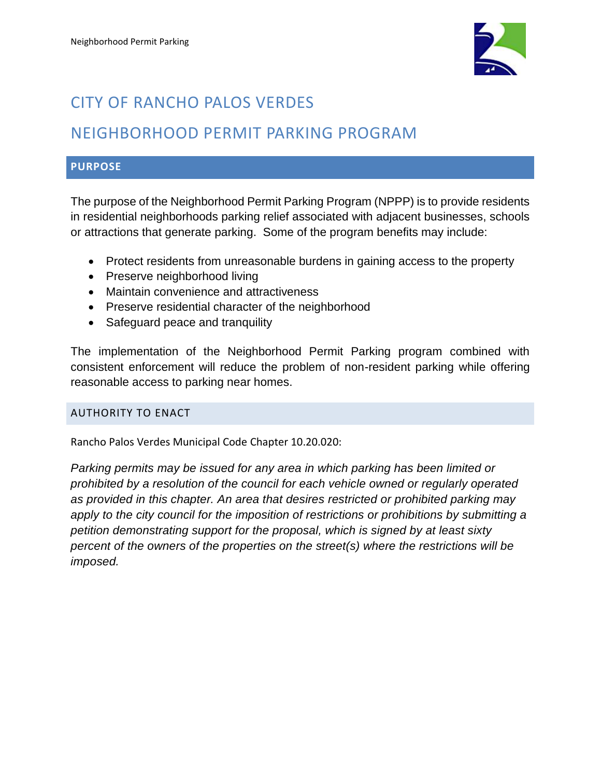

# CITY OF RANCHO PALOS VERDES

## NEIGHBORHOOD PERMIT PARKING PROGRAM

### **PURPOSE**

The purpose of the Neighborhood Permit Parking Program (NPPP) is to provide residents in residential neighborhoods parking relief associated with adjacent businesses, schools or attractions that generate parking. Some of the program benefits may include:

- Protect residents from unreasonable burdens in gaining access to the property
- Preserve neighborhood living
- Maintain convenience and attractiveness
- Preserve residential character of the neighborhood
- Safeguard peace and tranquility

The implementation of the Neighborhood Permit Parking program combined with consistent enforcement will reduce the problem of non-resident parking while offering reasonable access to parking near homes.

#### AUTHORITY TO ENACT

Rancho Palos Verdes Municipal Code Chapter 10.20.020:

*Parking permits may be issued for any area in which parking has been limited or prohibited by a resolution of the council for each vehicle owned or regularly operated as provided in this chapter. An area that desires restricted or prohibited parking may apply to the city council for the imposition of restrictions or prohibitions by submitting a petition demonstrating support for the proposal, which is signed by at least sixty percent of the owners of the properties on the street(s) where the restrictions will be imposed.*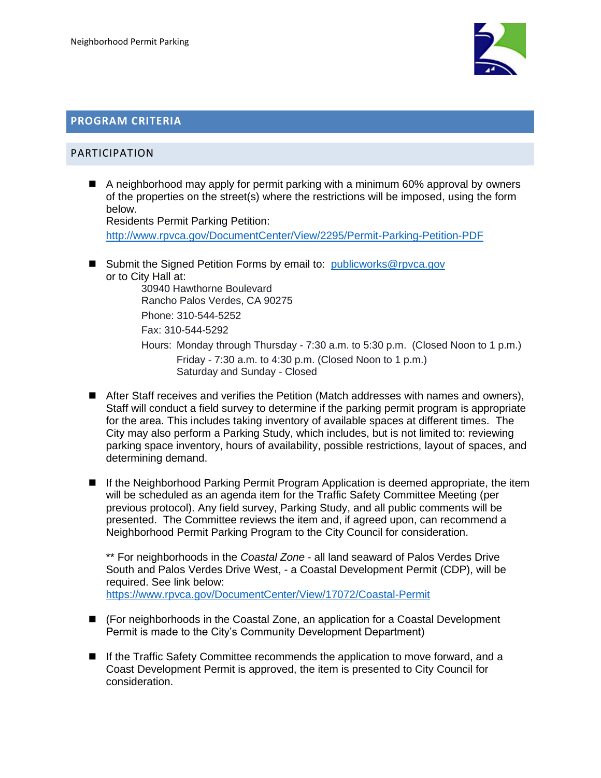

#### **PROGRAM CRITERIA**

#### PARTICIPATION

■ A neighborhood may apply for permit parking with a minimum 60% approval by owners of the properties on the street(s) where the restrictions will be imposed, using the form below. Residents Permit Parking Petition:

<http://www.rpvca.gov/DocumentCenter/View/2295/Permit-Parking-Petition-PDF>

■ Submit the Signed Petition Forms by email to: [publicworks@rpvca.gov](mailto:publicworks@rpvca.gov) or to City Hall at:

30940 Hawthorne Boulevard Rancho Palos Verdes, CA 90275 Phone: 310-544-5252 Fax: 310-544-5292

- Hours: Monday through Thursday 7:30 a.m. to 5:30 p.m. (Closed Noon to 1 p.m.) Friday - 7:30 a.m. to 4:30 p.m. (Closed Noon to 1 p.m.) Saturday and Sunday - Closed
- After Staff receives and verifies the Petition (Match addresses with names and owners), Staff will conduct a field survey to determine if the parking permit program is appropriate for the area. This includes taking inventory of available spaces at different times. The City may also perform a Parking Study, which includes, but is not limited to: reviewing parking space inventory, hours of availability, possible restrictions, layout of spaces, and determining demand.
- If the Neighborhood Parking Permit Program Application is deemed appropriate, the item will be scheduled as an agenda item for the Traffic Safety Committee Meeting (per previous protocol). Any field survey, Parking Study, and all public comments will be presented. The Committee reviews the item and, if agreed upon, can recommend a Neighborhood Permit Parking Program to the City Council for consideration.

\*\* For neighborhoods in the *Coastal Zone* - all land seaward of Palos Verdes Drive South and Palos Verdes Drive West, - a Coastal Development Permit (CDP), will be required. See link below: <https://www.rpvca.gov/DocumentCenter/View/17072/Coastal-Permit>

- (For neighborhoods in the Coastal Zone, an application for a Coastal Development Permit is made to the City's Community Development Department)
- If the Traffic Safety Committee recommends the application to move forward, and a Coast Development Permit is approved, the item is presented to City Council for consideration.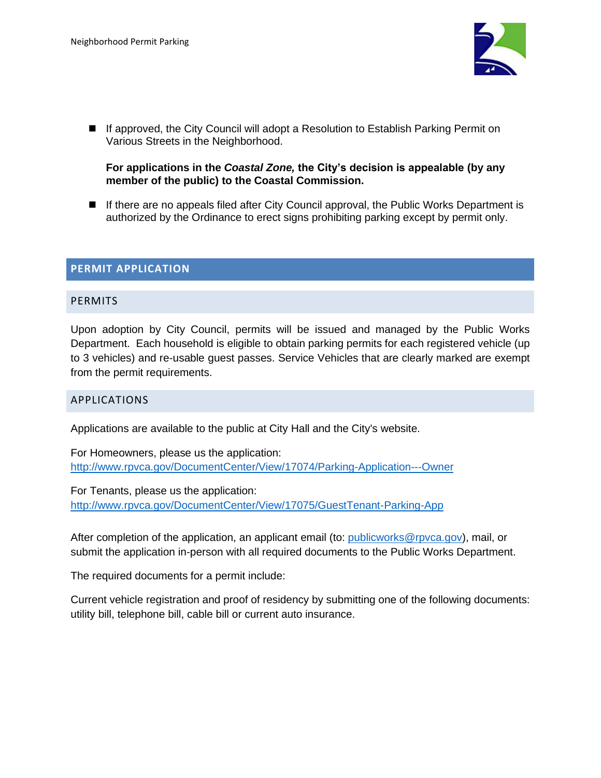

■ If approved, the City Council will adopt a Resolution to Establish Parking Permit on Various Streets in the Neighborhood.

#### **For applications in the** *Coastal Zone,* **the City's decision is appealable (by any member of the public) to the Coastal Commission.**

■ If there are no appeals filed after City Council approval, the Public Works Department is authorized by the Ordinance to erect signs prohibiting parking except by permit only.

#### **PERMIT APPLICATION**

#### **PERMITS**

Upon adoption by City Council, permits will be issued and managed by the Public Works Department. Each household is eligible to obtain parking permits for each registered vehicle (up to 3 vehicles) and re-usable guest passes. Service Vehicles that are clearly marked are exempt from the permit requirements.

#### APPLICATIONS

Applications are available to the public at City Hall and the City's website.

For Homeowners, please us the application: <http://www.rpvca.gov/DocumentCenter/View/17074/Parking-Application---Owner>

For Tenants, please us the application: <http://www.rpvca.gov/DocumentCenter/View/17075/GuestTenant-Parking-App>

After completion of the application, an applicant email (to: [publicworks@rpvca.gov\)](mailto:publicworks@rpvca.gov), mail, or submit the application in-person with all required documents to the Public Works Department.

The required documents for a permit include:

Current vehicle registration and proof of residency by submitting one of the following documents: utility bill, telephone bill, cable bill or current auto insurance.